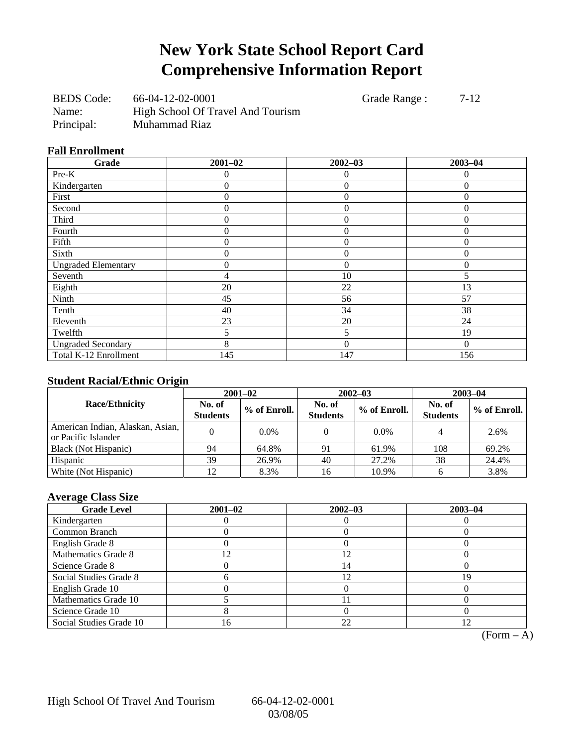## **New York State School Report Card Comprehensive Information Report**

BEDS Code: 66-04-12-02-0001 Grade Range : 7-12 Name: High School Of Travel And Tourism Principal: Muhammad Riaz

#### **Fall Enrollment**

| Grade                      | $2001 - 02$    | $2002 - 03$      | $2003 - 04$ |
|----------------------------|----------------|------------------|-------------|
| Pre-K                      | 0              | $\theta$         | 0           |
| Kindergarten               | $\overline{0}$ | $\overline{0}$   | $\theta$    |
| First                      | 0              | $\boldsymbol{0}$ | $\Omega$    |
| Second                     | 0              | $\overline{0}$   | $\theta$    |
| Third                      | 0              | $\theta$         | $\theta$    |
| Fourth                     | 0              | $\overline{0}$   | $\Omega$    |
| Fifth                      | 0              | $\theta$         | 0           |
| Sixth                      | 0              | $\overline{0}$   | $\theta$    |
| <b>Ungraded Elementary</b> | 0              | $\overline{0}$   | $\theta$    |
| Seventh                    | 4              | 10               | 5           |
| Eighth                     | 20             | 22               | 13          |
| Ninth                      | 45             | 56               | 57          |
| Tenth                      | 40             | 34               | 38          |
| Eleventh                   | 23             | 20               | 24          |
| Twelfth                    | 5              | 5                | 19          |
| <b>Ungraded Secondary</b>  | 8              | $\overline{0}$   | $\Omega$    |
| Total K-12 Enrollment      | 145            | 147              | 156         |

### **Student Racial/Ethnic Origin**

|                                                         | $2001 - 02$               |              |                           | $2002 - 03$  | $2003 - 04$               |              |
|---------------------------------------------------------|---------------------------|--------------|---------------------------|--------------|---------------------------|--------------|
| <b>Race/Ethnicity</b>                                   | No. of<br><b>Students</b> | % of Enroll. | No. of<br><b>Students</b> | % of Enroll. | No. of<br><b>Students</b> | % of Enroll. |
| American Indian, Alaskan, Asian,<br>or Pacific Islander |                           | $0.0\%$      |                           | $0.0\%$      |                           | 2.6%         |
| Black (Not Hispanic)                                    | 94                        | 64.8%        | 91                        | 61.9%        | 108                       | 69.2%        |
| Hispanic                                                | 39                        | 26.9%        | 40                        | 27.2%        | 38                        | 24.4%        |
| White (Not Hispanic)                                    | 12                        | 8.3%         | 16                        | 10.9%        |                           | 3.8%         |

### **Average Class Size**

| <b>Grade Level</b>      | $2001 - 02$ | $2002 - 03$ | $2003 - 04$ |
|-------------------------|-------------|-------------|-------------|
| Kindergarten            |             |             |             |
| Common Branch           |             |             |             |
| English Grade 8         |             |             |             |
| Mathematics Grade 8     | 2           |             |             |
| Science Grade 8         |             | 14          |             |
| Social Studies Grade 8  |             |             | 19          |
| English Grade 10        |             |             |             |
| Mathematics Grade 10    |             |             |             |
| Science Grade 10        |             |             |             |
| Social Studies Grade 10 | .6          | 22          |             |

 $\overline{(Form - A)}$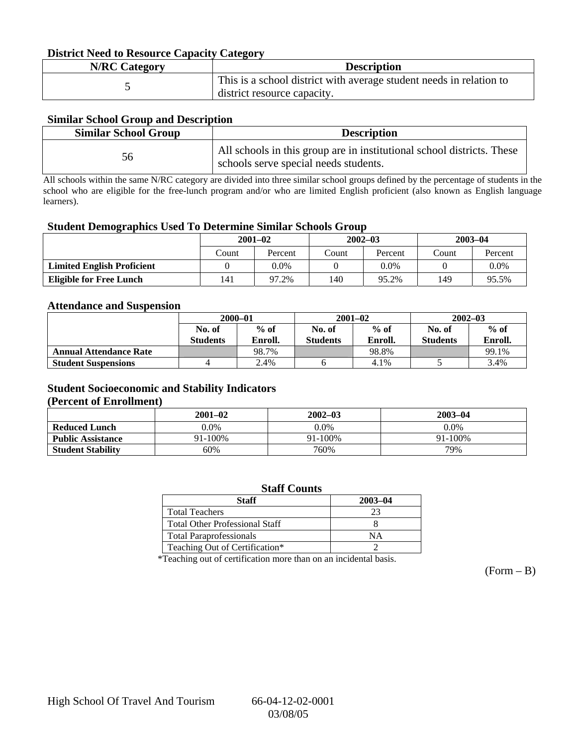### **District Need to Resource Capacity Category**

| <b>N/RC Category</b> | <b>Description</b>                                                                                 |
|----------------------|----------------------------------------------------------------------------------------------------|
|                      | This is a school district with average student needs in relation to<br>district resource capacity. |

### **Similar School Group and Description**

| <b>Similar School Group</b> | <b>Description</b>                                                                                              |  |  |
|-----------------------------|-----------------------------------------------------------------------------------------------------------------|--|--|
|                             | All schools in this group are in institutional school districts. These<br>schools serve special needs students. |  |  |

All schools within the same N/RC category are divided into three similar school groups defined by the percentage of students in the school who are eligible for the free-lunch program and/or who are limited English proficient (also known as English language learners).

#### **Student Demographics Used To Determine Similar Schools Group**

| . .                               | $2001 - 02$ |         | $2002 - 03$ |         | $2003 - 04$ |         |
|-----------------------------------|-------------|---------|-------------|---------|-------------|---------|
|                                   | Count       | Percent | Count       | Percent | Count       | Percent |
| <b>Limited English Proficient</b> |             | 0.0%    |             | 0.0%    |             | $0.0\%$ |
| <b>Eligible for Free Lunch</b>    | 141         | 97.2%   | .40         | 95.2%   | 149         | 95.5%   |

### **Attendance and Suspension**

|                               | $2000 - 01$     |         |                 | $2001 - 02$ | $2002 - 03$     |         |
|-------------------------------|-----------------|---------|-----------------|-------------|-----------------|---------|
|                               | No. of          | $%$ of  | No. of          | $%$ of      | No. of          | $\%$ of |
|                               | <b>Students</b> | Enroll. | <b>Students</b> | Enroll.     | <b>Students</b> | Enroll. |
| <b>Annual Attendance Rate</b> |                 | 98.7%   |                 | 98.8%       |                 | 99.1%   |
| <b>Student Suspensions</b>    |                 | 2.4%    |                 | 4.1%        |                 | 3.4%    |

### **Student Socioeconomic and Stability Indicators**

#### **(Percent of Enrollment)**

|                          | $2001 - 02$ | $2002 - 03$ | $2003 - 04$  |
|--------------------------|-------------|-------------|--------------|
| <b>Reduced Lunch</b>     | 9.0%        | $0.0\%$     | $0.0\%$      |
| <b>Public Assistance</b> | 91-100%     | 91-100%     | $91 - 100\%$ |
| <b>Student Stability</b> | 60%         | 760%        | 79%          |

| <b>Staff Counts</b>                   |             |  |  |  |  |
|---------------------------------------|-------------|--|--|--|--|
| Staff                                 | $2003 - 04$ |  |  |  |  |
| <b>Total Teachers</b>                 | 23          |  |  |  |  |
| <b>Total Other Professional Staff</b> |             |  |  |  |  |
| <b>Total Paraprofessionals</b>        | NΑ          |  |  |  |  |
| Teaching Out of Certification*        |             |  |  |  |  |

\*Teaching out of certification more than on an incidental basis.

 $(Form - B)$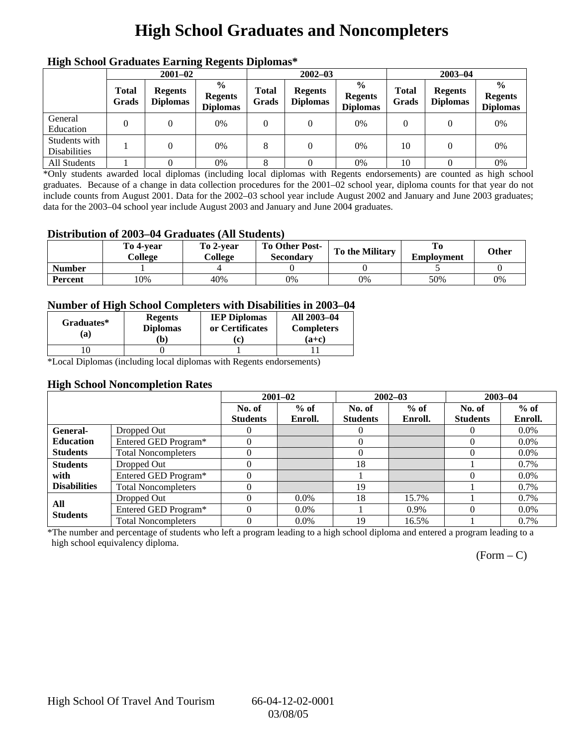## **High School Graduates and Noncompleters**

| ніді эспол этайнакі патінід кеденія ріропівя |                       |                                   |                                                    |                       |                                   |                                                    |                       |                                   |                                                    |  |
|----------------------------------------------|-----------------------|-----------------------------------|----------------------------------------------------|-----------------------|-----------------------------------|----------------------------------------------------|-----------------------|-----------------------------------|----------------------------------------------------|--|
|                                              | $2001 - 02$           |                                   |                                                    |                       | $2002 - 03$                       |                                                    |                       | $2003 - 04$                       |                                                    |  |
|                                              | <b>Total</b><br>Grads | <b>Regents</b><br><b>Diplomas</b> | $\frac{6}{9}$<br><b>Regents</b><br><b>Diplomas</b> | <b>Total</b><br>Grads | <b>Regents</b><br><b>Diplomas</b> | $\frac{0}{0}$<br><b>Regents</b><br><b>Diplomas</b> | <b>Total</b><br>Grads | <b>Regents</b><br><b>Diplomas</b> | $\frac{6}{9}$<br><b>Regents</b><br><b>Diplomas</b> |  |
| General<br>Education                         |                       | 0                                 | 0%                                                 | 0                     | $\Omega$                          | 0%                                                 | 0                     |                                   | 0%                                                 |  |
| Students with<br><b>Disabilities</b>         |                       | 0                                 | 0%                                                 | 8                     | $\theta$                          | 0%                                                 | 10                    |                                   | 0%                                                 |  |
| All Students                                 |                       |                                   | 0%                                                 |                       |                                   | 0%                                                 | 10                    |                                   | 0%                                                 |  |

## **High School Graduates Earning Regents Diplomas\***

\*Only students awarded local diplomas (including local diplomas with Regents endorsements) are counted as high school graduates. Because of a change in data collection procedures for the 2001–02 school year, diploma counts for that year do not include counts from August 2001. Data for the 2002–03 school year include August 2002 and January and June 2003 graduates; data for the 2003–04 school year include August 2003 and January and June 2004 graduates.

### **Distribution of 2003–04 Graduates (All Students)**

|               | To 4-vear<br>College | To 2-year<br>College | <b>To Other Post-</b><br>Secondary | <b>To the Military</b> | <b>Employment</b> | <b>Other</b> |
|---------------|----------------------|----------------------|------------------------------------|------------------------|-------------------|--------------|
| <b>Number</b> |                      |                      |                                    |                        |                   |              |
| Percent       | 10%                  | 40%                  | 0%                                 | 0%                     | 50%               | 0%           |

### **Number of High School Completers with Disabilities in 2003–04**

| Graduates*<br>'a)             | <b>Regents</b><br><b>Diplomas</b><br>b) | <b>IEP Diplomas</b><br>or Certificates<br>IΩ | All 2003-04<br><b>Completers</b><br>$(a+c)$ |
|-------------------------------|-----------------------------------------|----------------------------------------------|---------------------------------------------|
|                               |                                         |                                              |                                             |
| $\overline{\phantom{a}}$<br>. | . .<br>-- -                             | .                                            |                                             |

\*Local Diplomas (including local diplomas with Regents endorsements)

### **High School Noncompletion Rates**

|                     |                            |                 | $2001 - 02$ | $2002 - 03$     |         | $2003 - 04$     |         |
|---------------------|----------------------------|-----------------|-------------|-----------------|---------|-----------------|---------|
|                     |                            | No. of          | $%$ of      | No. of          | $%$ of  | No. of          | $%$ of  |
|                     |                            | <b>Students</b> | Enroll.     | <b>Students</b> | Enroll. | <b>Students</b> | Enroll. |
| General-            | Dropped Out                |                 |             |                 |         | 0               | $0.0\%$ |
| <b>Education</b>    | Entered GED Program*       |                 |             |                 |         |                 | $0.0\%$ |
| <b>Students</b>     | <b>Total Noncompleters</b> |                 |             |                 |         |                 | $0.0\%$ |
| <b>Students</b>     | Dropped Out                |                 |             | 18              |         |                 | 0.7%    |
| with                | Entered GED Program*       |                 |             |                 |         |                 | $0.0\%$ |
| <b>Disabilities</b> | <b>Total Noncompleters</b> |                 |             | 19              |         |                 | $0.7\%$ |
| All                 | Dropped Out                |                 | $0.0\%$     | 18              | 15.7%   |                 | $0.7\%$ |
| <b>Students</b>     | Entered GED Program*       |                 | $0.0\%$     |                 | $0.9\%$ |                 | $0.0\%$ |
|                     | <b>Total Noncompleters</b> |                 | $0.0\%$     | 19              | 16.5%   |                 | $0.7\%$ |

\*The number and percentage of students who left a program leading to a high school diploma and entered a program leading to a high school equivalency diploma.

 $(Form - C)$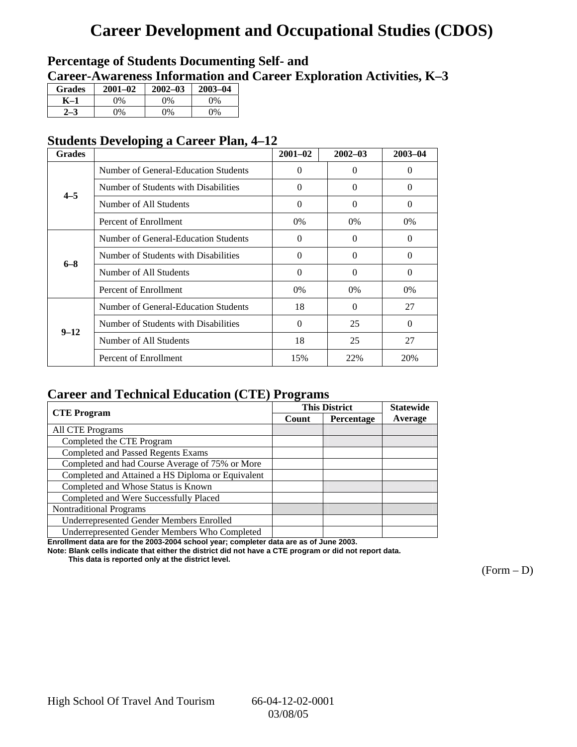## **Career Development and Occupational Studies (CDOS)**

## **Percentage of Students Documenting Self- and**

**Career-Awareness Information and Career Exploration Activities, K–3**

| <b>Grades</b> | $2001 - 02$ | $2002 - 03$ | $2003 - 04$ |
|---------------|-------------|-------------|-------------|
|               | $\gamma$ %  | $2\%$       | $\gamma\%$  |
|               | $\gamma_0$  | 9%          | 9%          |

### **Students Developing a Career Plan, 4–12**

| <b>Grades</b> |                                      | $2001 - 02$ | $2002 - 03$ | $2003 - 04$ |
|---------------|--------------------------------------|-------------|-------------|-------------|
|               | Number of General-Education Students | $\Omega$    | $\Omega$    | $\theta$    |
| $4 - 5$       | Number of Students with Disabilities | $\Omega$    | 0           | $\theta$    |
|               | Number of All Students               | $\Omega$    | 0           | $\Omega$    |
|               | Percent of Enrollment                | $0\%$       | $0\%$       | $0\%$       |
|               | Number of General-Education Students | $\Omega$    | 0           | 0           |
| $6 - 8$       | Number of Students with Disabilities | $\Omega$    | 0           | 0           |
|               | Number of All Students               | $\Omega$    | 0           | 0           |
|               | Percent of Enrollment                | 0%          | $0\%$       | $0\%$       |
|               | Number of General-Education Students | 18          | 0           | 27          |
| $9 - 12$      | Number of Students with Disabilities | $\Omega$    | 25          | $\Omega$    |
|               | Number of All Students               | 18          | 25          | 27          |
|               | Percent of Enrollment                | 15%         | 22%         | 20%         |

## **Career and Technical Education (CTE) Programs**

|                                                   |       | <b>This District</b> | <b>Statewide</b> |
|---------------------------------------------------|-------|----------------------|------------------|
| <b>CTE</b> Program                                | Count | Percentage           | Average          |
| <b>All CTE Programs</b>                           |       |                      |                  |
| Completed the CTE Program                         |       |                      |                  |
| <b>Completed and Passed Regents Exams</b>         |       |                      |                  |
| Completed and had Course Average of 75% or More   |       |                      |                  |
| Completed and Attained a HS Diploma or Equivalent |       |                      |                  |
| Completed and Whose Status is Known               |       |                      |                  |
| Completed and Were Successfully Placed            |       |                      |                  |
| <b>Nontraditional Programs</b>                    |       |                      |                  |
| Underrepresented Gender Members Enrolled          |       |                      |                  |
| Underrepresented Gender Members Who Completed     |       |                      |                  |

**Enrollment data are for the 2003-2004 school year; completer data are as of June 2003.** 

**Note: Blank cells indicate that either the district did not have a CTE program or did not report data.** 

 **This data is reported only at the district level.** 

 $(Form - D)$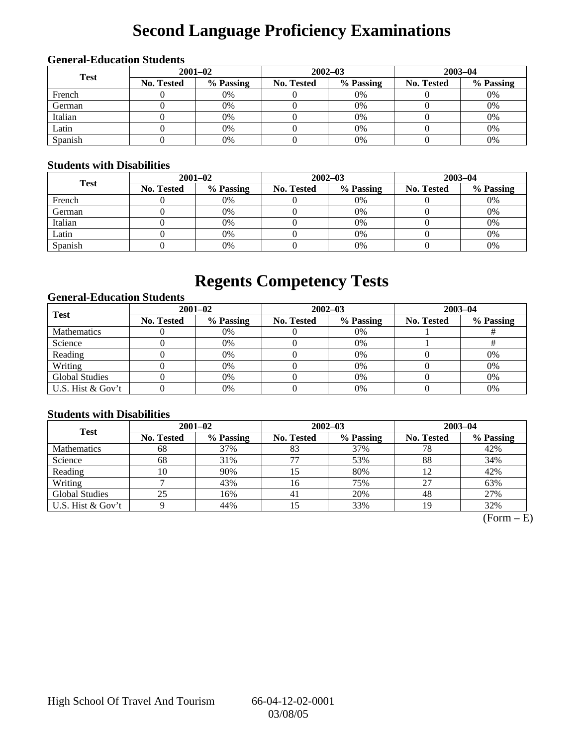# **Second Language Proficiency Examinations**

### **General-Education Students**

| <b>Test</b> | $2001 - 02$       |           |            | $2002 - 03$ | $2003 - 04$       |           |  |
|-------------|-------------------|-----------|------------|-------------|-------------------|-----------|--|
|             | <b>No. Tested</b> | % Passing | No. Tested | % Passing   | <b>No. Tested</b> | % Passing |  |
| French      |                   | 0%        |            | $0\%$       |                   | 0%        |  |
| German      |                   | 0%        |            | 0%          |                   | 0%        |  |
| Italian     |                   | 0%        |            | 0%          |                   | 0%        |  |
| Latin       |                   | 0%        |            | 0%          |                   | 0%        |  |
| Spanish     |                   | 0%        |            | 0%          |                   | 0%        |  |

### **Students with Disabilities**

| <b>Test</b> | $2001 - 02$       |           |            | $2002 - 03$ | $2003 - 04$       |           |  |
|-------------|-------------------|-----------|------------|-------------|-------------------|-----------|--|
|             | <b>No. Tested</b> | % Passing | No. Tested | % Passing   | <b>No. Tested</b> | % Passing |  |
| French      |                   | 0%        |            | $0\%$       |                   | 0%        |  |
| German      |                   | 0%        |            | $0\%$       |                   | 0%        |  |
| Italian     |                   | 0%        |            | 0%          |                   | 0%        |  |
| Latin       |                   | 0%        |            | 0%          |                   | 0%        |  |
| Spanish     |                   | 0%        |            | 0%          |                   | 0%        |  |

## **Regents Competency Tests**

### **General-Education Students**

| <b>Test</b>           | $2001 - 02$       |           |            | $2002 - 03$ | $2003 - 04$ |           |  |
|-----------------------|-------------------|-----------|------------|-------------|-------------|-----------|--|
|                       | <b>No. Tested</b> | % Passing | No. Tested | % Passing   | No. Tested  | % Passing |  |
| Mathematics           |                   | 0%        |            | $0\%$       |             |           |  |
| Science               |                   | 0%        |            | $0\%$       |             |           |  |
| Reading               |                   | 0%        |            | 0%          |             | 0%        |  |
| Writing               |                   | 0%        |            | $0\%$       |             | 0%        |  |
| <b>Global Studies</b> |                   | 0%        |            | $0\%$       |             | 0%        |  |
| U.S. Hist & Gov't     |                   | 0%        |            | 0%          |             | 0%        |  |

### **Students with Disabilities**

| <b>Test</b>           | $2001 - 02$       |           | $2002 - 03$       |           | $2003 - 04$ |           |  |
|-----------------------|-------------------|-----------|-------------------|-----------|-------------|-----------|--|
|                       | <b>No. Tested</b> | % Passing | <b>No. Tested</b> | % Passing | No. Tested  | % Passing |  |
| <b>Mathematics</b>    | 68                | 37%       | 83                | 37%       | 78          | 42%       |  |
| Science               | 68                | 31%       | 77                | 53%       | 88          | 34%       |  |
| Reading               | 10                | 90%       | 15                | 80%       |             | 42%       |  |
| Writing               |                   | 43%       | 16                | 75%       | 27          | 63%       |  |
| <b>Global Studies</b> | 25                | 16%       | 41                | 20%       | 48          | 27%       |  |
| U.S. Hist & Gov't     |                   | 44%       |                   | 33%       | 19          | 32%       |  |

 $(Form - E)$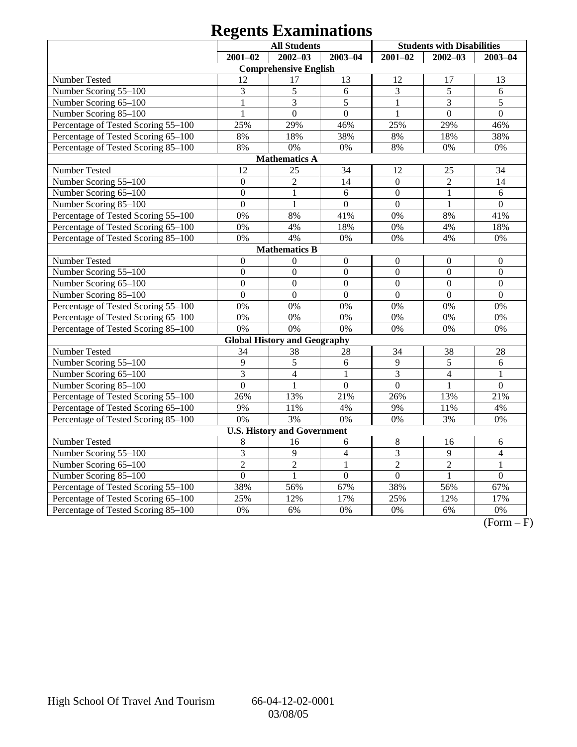## **Regents Examinations**

|                                     | <b>All Students</b> |                                     |                  | <b>Students with Disabilities</b> |                  |                  |
|-------------------------------------|---------------------|-------------------------------------|------------------|-----------------------------------|------------------|------------------|
|                                     | $2001 - 02$         | $2002 - 03$                         | $2003 - 04$      | $2001 - 02$                       | $2002 - 03$      | $2003 - 04$      |
|                                     |                     | <b>Comprehensive English</b>        |                  |                                   |                  |                  |
| Number Tested                       | 12                  | 17                                  | 13               | 12                                | 17               | 13               |
| Number Scoring 55-100               | 3                   | 5                                   | 6                | 3                                 | $\overline{5}$   | 6                |
| Number Scoring 65-100               | $\mathbf{1}$        | $\overline{\mathbf{3}}$             | 5                | $\mathbf{1}$                      | 3                | 5                |
| Number Scoring 85-100               |                     | $\overline{0}$                      | $\overline{0}$   |                                   | $\theta$         | $\overline{0}$   |
| Percentage of Tested Scoring 55-100 | 25%                 | 29%                                 | 46%              | 25%                               | 29%              | 46%              |
| Percentage of Tested Scoring 65-100 | 8%                  | 18%                                 | 38%              | 8%                                | 18%              | 38%              |
| Percentage of Tested Scoring 85-100 | 8%                  | 0%                                  | 0%               | $8\%$                             | 0%               | 0%               |
|                                     |                     | <b>Mathematics A</b>                |                  |                                   |                  |                  |
| Number Tested                       | 12                  | 25                                  | 34               | 12                                | 25               | 34               |
| Number Scoring 55-100               | $\overline{0}$      | $\overline{2}$                      | 14               | $\boldsymbol{0}$                  | $\overline{2}$   | 14               |
| Number Scoring 65-100               | $\mathbf{0}$        | 1                                   | 6                | $\boldsymbol{0}$                  | $\mathbf{1}$     | 6                |
| Number Scoring 85-100               | $\overline{0}$      | $\mathbf{1}$                        | $\boldsymbol{0}$ | $\boldsymbol{0}$                  | $\mathbf{1}$     | $\overline{0}$   |
| Percentage of Tested Scoring 55-100 | 0%                  | 8%                                  | 41%              | 0%                                | 8%               | 41%              |
| Percentage of Tested Scoring 65-100 | 0%                  | 4%                                  | 18%              | 0%                                | 4%               | 18%              |
| Percentage of Tested Scoring 85-100 | 0%                  | 4%                                  | 0%               | 0%                                | 4%               | 0%               |
|                                     |                     | <b>Mathematics B</b>                |                  |                                   |                  |                  |
| <b>Number Tested</b>                | $\boldsymbol{0}$    | $\boldsymbol{0}$                    | $\boldsymbol{0}$ | $\mathbf{0}$                      | $\boldsymbol{0}$ | $\boldsymbol{0}$ |
| Number Scoring 55-100               | $\overline{0}$      | $\mathbf{0}$                        | $\overline{0}$   | $\overline{0}$                    | $\mathbf{0}$     | $\overline{0}$   |
| Number Scoring 65-100               | $\overline{0}$      | $\overline{0}$                      | $\overline{0}$   | $\overline{0}$                    | $\overline{0}$   | $\overline{0}$   |
| Number Scoring 85-100               | $\overline{0}$      | $\overline{0}$                      | $\overline{0}$   | $\overline{0}$                    | $\overline{0}$   | $\overline{0}$   |
| Percentage of Tested Scoring 55-100 | 0%                  | 0%                                  | 0%               | 0%                                | 0%               | 0%               |
| Percentage of Tested Scoring 65-100 | 0%                  | 0%                                  | 0%               | 0%                                | 0%               | 0%               |
| Percentage of Tested Scoring 85-100 | 0%                  | 0%                                  | 0%               | 0%                                | 0%               | 0%               |
|                                     |                     | <b>Global History and Geography</b> |                  |                                   |                  |                  |
| Number Tested                       | 34                  | 38                                  | 28               | 34                                | 38               | 28               |
| Number Scoring 55-100               | 9                   | 5                                   | 6                | 9                                 | 5                | 6                |
| Number Scoring 65-100               | 3                   | $\overline{4}$                      | $\mathbf{1}$     | 3                                 | $\overline{4}$   | $\mathbf{1}$     |
| Number Scoring 85-100               | $\overline{0}$      | $\mathbf{1}$                        | $\overline{0}$   | $\overline{0}$                    | 1                | $\overline{0}$   |
| Percentage of Tested Scoring 55-100 | 26%                 | 13%                                 | 21%              | 26%                               | 13%              | 21%              |
| Percentage of Tested Scoring 65-100 | 9%                  | 11%                                 | 4%               | 9%                                | 11%              | 4%               |
| Percentage of Tested Scoring 85-100 | 0%                  | 3%                                  | 0%               | 0%                                | 3%               | 0%               |
|                                     |                     | <b>U.S. History and Government</b>  |                  |                                   |                  |                  |
| Number Tested                       | 8                   | 16                                  | 6                | 8                                 | 16               | 6                |
| Number Scoring 55-100               | 3                   | 9                                   | $\overline{4}$   | 3                                 | 9                | $\overline{4}$   |
| Number Scoring 65-100               | $\overline{2}$      | $\overline{2}$                      | $\mathbf{1}$     | $\overline{2}$                    | $\overline{2}$   | $\mathbf{1}$     |
| Number Scoring 85-100               | $\theta$            | $\mathbf{1}$                        | $\overline{0}$   | $\overline{0}$                    | 1                | $\overline{0}$   |
| Percentage of Tested Scoring 55-100 | 38%                 | 56%                                 | 67%              | 38%                               | 56%              | 67%              |
| Percentage of Tested Scoring 65-100 | 25%                 | 12%                                 | 17%              | 25%                               | 12%              | 17%              |
| Percentage of Tested Scoring 85-100 | 0%                  | 6%                                  | 0%               | 0%                                | 6%               | 0%               |

 $\overline{(Form - F)}$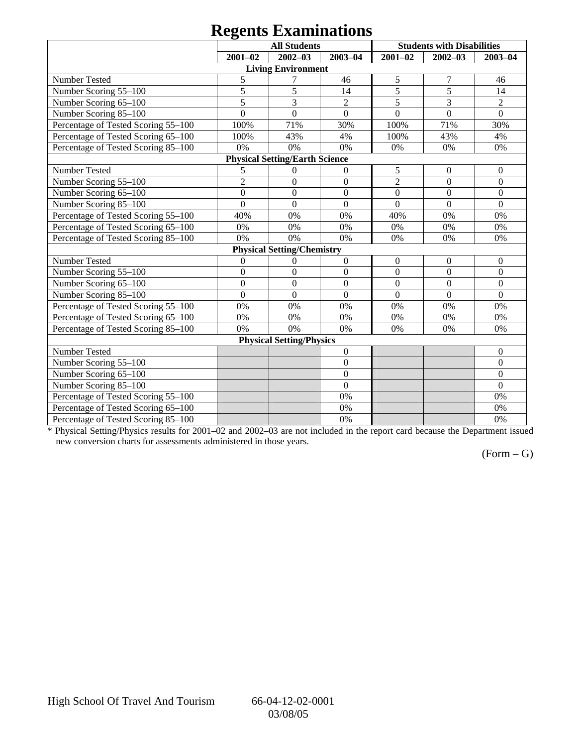## **Regents Examinations**

| o                                   |                  |                                       |                  |                  |                                   |                  |  |  |  |
|-------------------------------------|------------------|---------------------------------------|------------------|------------------|-----------------------------------|------------------|--|--|--|
|                                     |                  | <b>All Students</b>                   |                  |                  | <b>Students with Disabilities</b> |                  |  |  |  |
|                                     | $2001 - 02$      | $2002 - 03$                           | $2003 - 04$      | $2001 - 02$      | $2002 - 03$                       | $2003 - 04$      |  |  |  |
|                                     |                  | <b>Living Environment</b>             |                  |                  |                                   |                  |  |  |  |
| Number Tested                       | 5                | 7                                     | 46               | 5                | 7                                 | 46               |  |  |  |
| Number Scoring 55-100               | 5                | 5                                     | 14               | $\overline{5}$   | 5                                 | 14               |  |  |  |
| Number Scoring 65-100               | 5                | 3                                     | $\overline{2}$   | 5                | $\overline{3}$                    | $\overline{2}$   |  |  |  |
| Number Scoring 85-100               | $\overline{0}$   | $\Omega$                              | $\overline{0}$   | $\overline{0}$   | $\overline{0}$                    | $\overline{0}$   |  |  |  |
| Percentage of Tested Scoring 55-100 | 100%             | 71%                                   | 30%              | 100%             | 71%                               | 30%              |  |  |  |
| Percentage of Tested Scoring 65-100 | 100%             | 43%                                   | 4%               | 100%             | 43%                               | 4%               |  |  |  |
| Percentage of Tested Scoring 85-100 | 0%               | 0%                                    | 0%               | 0%               | 0%                                | 0%               |  |  |  |
|                                     |                  | <b>Physical Setting/Earth Science</b> |                  |                  |                                   |                  |  |  |  |
| Number Tested                       | 5                | $\mathbf{0}$                          | $\overline{0}$   | 5                | $\theta$                          | $\theta$         |  |  |  |
| Number Scoring 55-100               | $\overline{2}$   | $\overline{0}$                        | $\mathbf{0}$     | $\overline{2}$   | $\overline{0}$                    | $\overline{0}$   |  |  |  |
| Number Scoring 65-100               | $\overline{0}$   | $\overline{0}$                        | $\overline{0}$   | $\overline{0}$   | $\overline{0}$                    | $\overline{0}$   |  |  |  |
| Number Scoring 85-100               | $\Omega$         | $\theta$                              | $\Omega$         | $\overline{0}$   | $\Omega$                          | $\theta$         |  |  |  |
| Percentage of Tested Scoring 55-100 | 40%              | 0%                                    | 0%               | 40%              | 0%                                | 0%               |  |  |  |
| Percentage of Tested Scoring 65-100 | 0%               | 0%                                    | 0%               | 0%               | 0%                                | 0%               |  |  |  |
| Percentage of Tested Scoring 85-100 | 0%               | 0%                                    | 0%               | 0%               | 0%                                | 0%               |  |  |  |
|                                     |                  | <b>Physical Setting/Chemistry</b>     |                  |                  |                                   |                  |  |  |  |
| Number Tested                       | $\mathbf{0}$     | $\overline{0}$                        | $\overline{0}$   | $\boldsymbol{0}$ | $\theta$                          | $\theta$         |  |  |  |
| Number Scoring 55-100               | $\boldsymbol{0}$ | $\boldsymbol{0}$                      | $\boldsymbol{0}$ | $\boldsymbol{0}$ | $\overline{0}$                    | $\overline{0}$   |  |  |  |
| Number Scoring 65-100               | $\boldsymbol{0}$ | $\theta$                              | $\Omega$         | $\overline{0}$   | $\overline{0}$                    | $\overline{0}$   |  |  |  |
| Number Scoring 85-100               | $\overline{0}$   | $\overline{0}$                        | $\overline{0}$   | $\overline{0}$   | $\overline{0}$                    | $\overline{0}$   |  |  |  |
| Percentage of Tested Scoring 55-100 | 0%               | 0%                                    | 0%               | 0%               | 0%                                | 0%               |  |  |  |
| Percentage of Tested Scoring 65-100 | $0\%$            | 0%                                    | 0%               | 0%               | 0%                                | 0%               |  |  |  |
| Percentage of Tested Scoring 85-100 | 0%               | 0%                                    | 0%               | 0%               | 0%                                | 0%               |  |  |  |
|                                     |                  | <b>Physical Setting/Physics</b>       |                  |                  |                                   |                  |  |  |  |
| Number Tested                       |                  |                                       | $\boldsymbol{0}$ |                  |                                   | $\overline{0}$   |  |  |  |
| Number Scoring 55-100               |                  |                                       | $\boldsymbol{0}$ |                  |                                   | $\boldsymbol{0}$ |  |  |  |
| Number Scoring 65-100               |                  |                                       | $\boldsymbol{0}$ |                  |                                   | $\overline{0}$   |  |  |  |
| Number Scoring 85-100               |                  |                                       | $\mathbf{0}$     |                  |                                   | $\Omega$         |  |  |  |
| Percentage of Tested Scoring 55-100 |                  |                                       | 0%               |                  |                                   | 0%               |  |  |  |
| Percentage of Tested Scoring 65-100 |                  |                                       | 0%               |                  |                                   | 0%               |  |  |  |
| Percentage of Tested Scoring 85-100 |                  |                                       | 0%               |                  |                                   | 0%               |  |  |  |

\* Physical Setting/Physics results for 2001–02 and 2002–03 are not included in the report card because the Department issued new conversion charts for assessments administered in those years.

 $(Form - G)$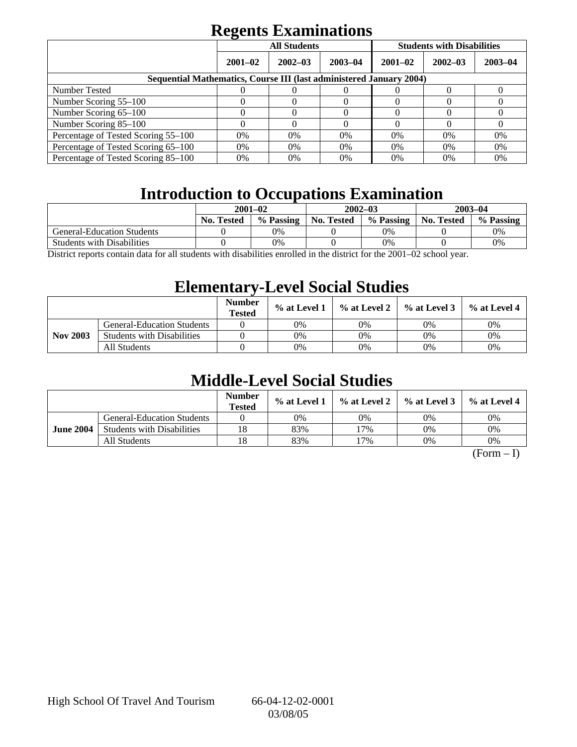## **Regents Examinations**

|                                                                            | <b>All Students</b> |             |             | <b>Students with Disabilities</b> |             |             |  |  |
|----------------------------------------------------------------------------|---------------------|-------------|-------------|-----------------------------------|-------------|-------------|--|--|
|                                                                            | $2001 - 02$         | $2002 - 03$ | $2003 - 04$ | $2001 - 02$                       | $2002 - 03$ | $2003 - 04$ |  |  |
| <b>Sequential Mathematics, Course III (last administered January 2004)</b> |                     |             |             |                                   |             |             |  |  |
| Number Tested                                                              |                     |             |             |                                   |             |             |  |  |
| Number Scoring 55–100                                                      |                     |             |             |                                   |             |             |  |  |
| Number Scoring 65-100                                                      |                     |             |             |                                   |             |             |  |  |
| Number Scoring 85–100                                                      |                     |             |             |                                   |             |             |  |  |
| Percentage of Tested Scoring 55–100                                        | 0%                  | $0\%$       | $0\%$       | $0\%$                             | $0\%$       | 0%          |  |  |
| Percentage of Tested Scoring 65–100                                        | 0%                  | $0\%$       | 0%          | 0%                                | 0%          | 0%          |  |  |
| Percentage of Tested Scoring 85–100                                        | 0%                  | 0%          | $0\%$       | $0\%$                             | 0%          | 0%          |  |  |

## **Introduction to Occupations Examination**

|                                   | $2001 - 02$              |           |                   | $2002 - 03$                                                                                                                               | $2003 - 04$ |           |
|-----------------------------------|--------------------------|-----------|-------------------|-------------------------------------------------------------------------------------------------------------------------------------------|-------------|-----------|
|                                   | <b>No. Tested</b>        | % Passing | <b>No. Tested</b> | % Passing                                                                                                                                 | No. Tested  | % Passing |
| <b>General-Education Students</b> |                          | 0%        |                   | 0%                                                                                                                                        |             | 0%        |
| <b>Students with Disabilities</b> |                          | 0%        |                   | 0%                                                                                                                                        |             | $0\%$     |
| $\mathbf{r}$<br>- 11 - 1          | $-1$ $-1$ $-1$ $-1$ $-1$ | $\cdots$  |                   | $\mathbf{1}^{\bullet}$ $\mathbf{1}^{\bullet}$ $\mathbf{1}^{\bullet}$ $\mathbf{2}^{\bullet}$ $\mathbf{3}^{\bullet}$ $\mathbf{2}^{\bullet}$ |             |           |

District reports contain data for all students with disabilities enrolled in the district for the 2001–02 school year.

## **Elementary-Level Social Studies**

|                 |                                   | <b>Number</b><br><b>Tested</b> | $%$ at Level 1 | % at Level 2 | $\%$ at Level 3 | $\%$ at Level 4 |
|-----------------|-----------------------------------|--------------------------------|----------------|--------------|-----------------|-----------------|
| <b>Nov 2003</b> | <b>General-Education Students</b> |                                | 0%             | 0%           | 0%              | 0%              |
|                 | <b>Students with Disabilities</b> |                                | 0%             | 0%           | 0%              | 0%              |
|                 | All Students                      |                                | 0%             | 0%           | 0%              | 0%              |

## **Middle-Level Social Studies**

|                  |                                   | <b>Number</b><br><b>Tested</b> | $\%$ at Level 1 |     | $\%$ at Level 2 $\%$ at Level 3 | $%$ at Level 4 |
|------------------|-----------------------------------|--------------------------------|-----------------|-----|---------------------------------|----------------|
| <b>June 2004</b> | <b>General-Education Students</b> |                                | 0%              | 0%  | 0%                              | 0%             |
|                  | <b>Students with Disabilities</b> | 18                             | 83%             | 17% | 0%                              | 0%             |
|                  | All Students                      | 18                             | 83%             | '7% | 0%                              | 0%             |